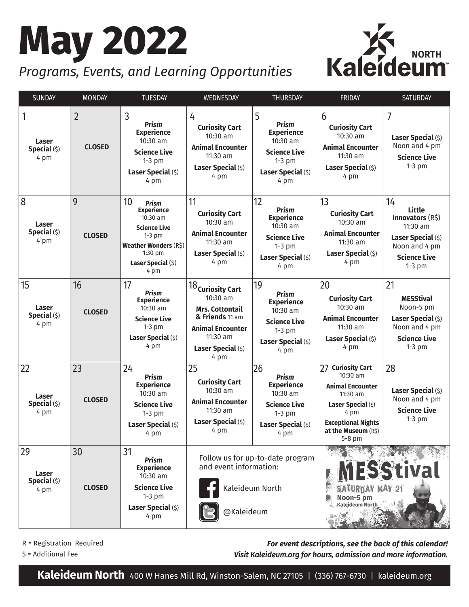# **May 2022**



# *Programs, Events, and Learning Opportunities*

| SUNDAY                                     | <b>MONDAY</b>                   | <b>TUESDAY</b>                                                                                                                                                  | WEDNESDAY                                                                                                                                                     | <b>THURSDAY</b>                                                                                                      | <b>FRIDAY</b>                                                                                                                                                                | SATURDAY                                                                                                                      |
|--------------------------------------------|---------------------------------|-----------------------------------------------------------------------------------------------------------------------------------------------------------------|---------------------------------------------------------------------------------------------------------------------------------------------------------------|----------------------------------------------------------------------------------------------------------------------|------------------------------------------------------------------------------------------------------------------------------------------------------------------------------|-------------------------------------------------------------------------------------------------------------------------------|
| 1<br>Laser<br>Special (\$)<br>4 pm         | $\overline{2}$<br><b>CLOSED</b> | 3<br><b>Prism</b><br><b>Experience</b><br>10:30 am<br><b>Science Live</b><br>$1-3$ pm<br>Laser Special (\$)<br>4 pm                                             | 4<br><b>Curiosity Cart</b><br>$10:30$ am<br><b>Animal Encounter</b><br>11:30 am<br>Laser Special (\$)<br>4 pm                                                 | 5<br><b>Prism</b><br><b>Experience</b><br>10:30 am<br><b>Science Live</b><br>$1-3$ pm<br>Laser Special (\$)<br>4 pm  | 6<br><b>Curiosity Cart</b><br>10:30 am<br><b>Animal Encounter</b><br>11:30 am<br>Laser Special (\$)<br>4 pm                                                                  | $\overline{7}$<br>Laser Special (\$)<br>Noon and 4 pm<br><b>Science Live</b><br>$1-3$ pm                                      |
| 8<br><b>Laser</b><br>Special (\$)<br>4 pm  | 9<br><b>CLOSED</b>              | 10<br><b>Prism</b><br><b>Experience</b><br>10:30 am<br><b>Science Live</b><br>$1-3$ pm<br><b>Weather Wonders (R\$)</b><br>1:30 pm<br>Laser Special (\$)<br>4 pm | 11<br><b>Curiosity Cart</b><br>10:30 am<br><b>Animal Encounter</b><br>11:30 am<br>Laser Special (\$)<br>4 pm                                                  | 12<br><b>Prism</b><br><b>Experience</b><br>10:30 am<br><b>Science Live</b><br>$1-3$ pm<br>Laser Special (\$)<br>4 pm | 13<br><b>Curiosity Cart</b><br>$10:30$ am<br><b>Animal Encounter</b><br>11:30 am<br>Laser Special (\$)<br>4 pm                                                               | 14<br><b>Little</b><br>Innovators (R\$)<br>11:30 am<br>Laser Special (\$)<br>Noon and 4 pm<br><b>Science Live</b><br>$1-3$ pm |
| 15<br><b>Laser</b><br>Special (\$)<br>4 pm | 16<br><b>CLOSED</b>             | 17<br><b>Prism</b><br><b>Experience</b><br>10:30 am<br><b>Science Live</b><br>$1-3$ pm<br>Laser Special (\$)<br>4 pm                                            | $18_\mathsf{Curiosity\,Cart}$<br>$10:30$ am<br><b>Mrs. Cottontail</b><br>& Friends 11 am<br><b>Animal Encounter</b><br>11:30 am<br>Laser Special (\$)<br>4 pm | 19<br><b>Prism</b><br><b>Experience</b><br>10:30 am<br><b>Science Live</b><br>$1-3$ pm<br>Laser Special (\$)<br>4 pm | 20<br><b>Curiosity Cart</b><br>10:30 am<br><b>Animal Encounter</b><br>11:30 am<br>Laser Special (\$)<br>4 pm                                                                 | 21<br><b>MESStival</b><br>Noon-5 pm<br>Laser Special (\$)<br>Noon and 4 pm<br><b>Science Live</b><br>$1-3$ pm                 |
| 22<br><b>Laser</b><br>Special (\$)<br>4 pm | 23<br><b>CLOSED</b>             | 24<br><b>Prism</b><br><b>Experience</b><br>10:30 am<br><b>Science Live</b><br>$1-3$ pm<br>Laser Special (\$)<br>4 pm                                            | 25<br><b>Curiosity Cart</b><br>$10:30$ am<br><b>Animal Encounter</b><br>11:30 am<br>Laser Special (\$)<br>4 pm                                                | 26<br><b>Prism</b><br><b>Experience</b><br>10:30 am<br><b>Science Live</b><br>$1-3$ pm<br>Laser Special (\$)<br>4 pm | 27<br><b>Curiosity Cart</b><br>10:30 am<br><b>Animal Encounter</b><br>$11:30$ am<br>Laser Special (\$)<br>4 pm<br><b>Exceptional Nights</b><br>at the Museum (R\$)<br>5-8 pm | 28<br>Laser Special (\$)<br>Noon and 4 pm<br><b>Science Live</b><br>$1-3$ pm                                                  |
| 29<br>Laser<br>Special (\$)<br>4 pm        | 30<br><b>CLOSED</b>             | 31<br><b>Prism</b><br><b>Experience</b><br>10:30 am<br><b>Science Live</b><br>$1-3$ pm<br>Laser Special (\$)<br>4 pm                                            | and event information:<br>@Kaleideum                                                                                                                          | Follow us for up-to-date program<br>Kaleideum North                                                                  | <b>ESStival</b><br><b>SATURDAY MAY 21</b><br>Noon-5 pm<br>Kaleideum North                                                                                                    |                                                                                                                               |

R = Registration Required

\$ = Additional Fee

*For event descriptions, see the back of this calendar! Visit Kaleideum.org for hours, admission and more information.*

**Kaleideum North** 400 W Hanes Mill Rd, Winston-Salem, NC 27105 | (336) 767-6730 | kaleideum.org